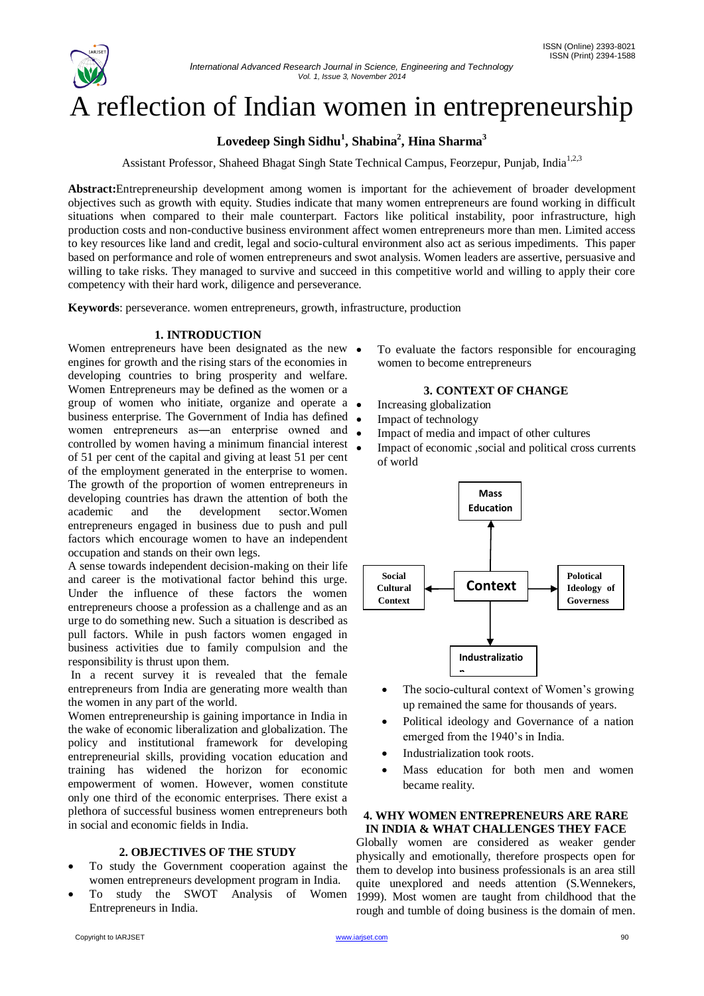

# A reflection of Indian women in entrepreneurship

# **Lovedeep Singh Sidhu<sup>1</sup> , Shabina<sup>2</sup> , Hina Sharma<sup>3</sup>**

Assistant Professor, Shaheed Bhagat Singh State Technical Campus, Feorzepur, Punjab, India<sup>1,2,3</sup>

**Abstract:**Entrepreneurship development among women is important for the achievement of broader development objectives such as growth with equity. Studies indicate that many women entrepreneurs are found working in difficult situations when compared to their male counterpart. Factors like political instability, poor infrastructure, high production costs and non-conductive business environment affect women entrepreneurs more than men. Limited access to key resources like land and credit, legal and socio-cultural environment also act as serious impediments. This paper based on performance and role of women entrepreneurs and swot analysis. Women leaders are assertive, persuasive and willing to take risks. They managed to survive and succeed in this competitive world and willing to apply their core competency with their hard work, diligence and perseverance.

**Keywords**: perseverance. women entrepreneurs, growth, infrastructure, production

## **1. INTRODUCTION**

Women entrepreneurs have been designated as the new  $\bullet$ engines for growth and the rising stars of the economies in developing countries to bring prosperity and welfare. Women Entrepreneurs may be defined as the women or a group of women who initiate, organize and operate a business enterprise. The Government of India has defined  $\bullet$ women entrepreneurs as—an enterprise owned and  $\bullet$ controlled by women having a minimum financial interest  $\bullet$ of 51 per cent of the capital and giving at least 51 per cent of the employment generated in the enterprise to women. The growth of the proportion of women entrepreneurs in developing countries has drawn the attention of both the academic and the development sector.Women entrepreneurs engaged in business due to push and pull factors which encourage women to have an independent occupation and stands on their own legs.

A sense towards independent decision-making on their life and career is the motivational factor behind this urge. Under the influence of these factors the women entrepreneurs choose a profession as a challenge and as an urge to do something new. Such a situation is described as pull factors. While in push factors women engaged in business activities due to family compulsion and the responsibility is thrust upon them.

In a recent survey it is revealed that the female entrepreneurs from India are generating more wealth than the women in any part of the world.

Women entrepreneurship is gaining importance in India in the wake of economic liberalization and globalization. The policy and institutional framework for developing entrepreneurial skills, providing vocation education and training has widened the horizon for economic empowerment of women. However, women constitute only one third of the economic enterprises. There exist a plethora of successful business women entrepreneurs both in social and economic fields in India.

## **2. OBJECTIVES OF THE STUDY**

- To study the Government cooperation against the women entrepreneurs development program in India.
- To study the SWOT Analysis of Women Entrepreneurs in India.

 To evaluate the factors responsible for encouraging women to become entrepreneurs

## **3. CONTEXT OF CHANGE**

- Increasing globalization
- Impact of technology
- Impact of media and impact of other cultures
- Impact of economic ,social and political cross currents of world



- The socio-cultural context of Women's growing up remained the same for thousands of years.
- Political ideology and Governance of a nation emerged from the 1940's in India.
- Industrialization took roots.
- Mass education for both men and women became reality.

#### **4. WHY WOMEN ENTREPRENEURS ARE RARE IN INDIA & WHAT CHALLENGES THEY FACE**

Globally women are considered as weaker gender physically and emotionally, therefore prospects open for them to develop into business professionals is an area still quite unexplored and needs attention (S.Wennekers, 1999). Most women are taught from childhood that the rough and tumble of doing business is the domain of men.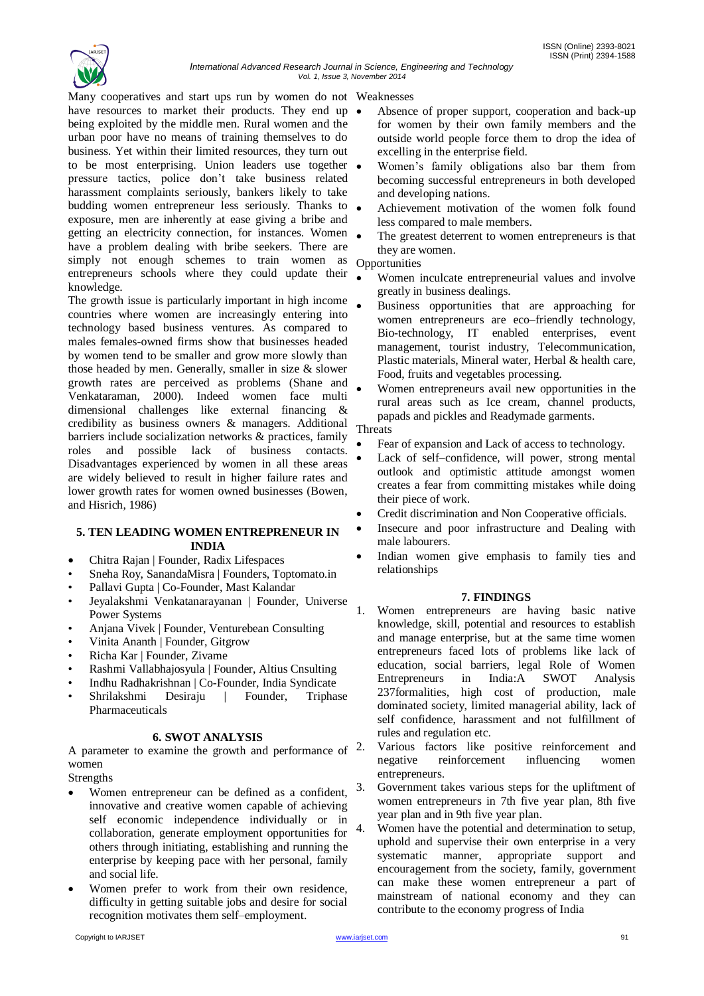

Many cooperatives and start ups run by women do not Weaknesses have resources to market their products. They end up  $\bullet$ being exploited by the middle men. Rural women and the urban poor have no means of training themselves to do business. Yet within their limited resources, they turn out to be most enterprising. Union leaders use together pressure tactics, police don't take business related harassment complaints seriously, bankers likely to take budding women entrepreneur less seriously. Thanks to  $\bullet$ exposure, men are inherently at ease giving a bribe and getting an electricity connection, for instances. Women have a problem dealing with bribe seekers. There are simply not enough schemes to train women as entrepreneurs schools where they could update their knowledge.

The growth issue is particularly important in high income countries where women are increasingly entering into technology based business ventures. As compared to males females-owned firms show that businesses headed by women tend to be smaller and grow more slowly than those headed by men. Generally, smaller in size & slower growth rates are perceived as problems (Shane and Venkataraman, 2000). Indeed women face multi dimensional challenges like external financing & credibility as business owners & managers. Additional barriers include socialization networks & practices, family roles and possible lack of business contacts. Disadvantages experienced by women in all these areas are widely believed to result in higher failure rates and lower growth rates for women owned businesses (Bowen, and Hisrich, 1986)

## **5. TEN LEADING WOMEN ENTREPRENEUR IN INDIA**

- Chitra Rajan | Founder, Radix Lifespaces
- Sneha Roy, SanandaMisra | Founders, Toptomato.in
- Pallavi Gupta | Co-Founder, Mast Kalandar
- Jeyalakshmi Venkatanarayanan | Founder, Universe Power Systems
- Anjana Vivek | Founder, Venturebean Consulting
- Vinita Ananth | Founder, Gitgrow
- Richa Kar | Founder, Zivame
- Rashmi Vallabhajosyula | Founder, Altius Cnsulting
- Indhu Radhakrishnan | Co-Founder, India Syndicate
- Shrilakshmi Desiraju | Founder, Triphase Pharmaceuticals

## **6. SWOT ANALYSIS**

A parameter to examine the growth and performance of  $2$ . women

**Strengths** 

- Women entrepreneur can be defined as a confident, innovative and creative women capable of achieving self economic independence individually or in collaboration, generate employment opportunities for others through initiating, establishing and running the enterprise by keeping pace with her personal, family and social life.
- Women prefer to work from their own residence, difficulty in getting suitable jobs and desire for social recognition motivates them self–employment.
- Copyright to IARJSET [www.iarjset.com](http://www.iarjset.com/) 91
- Absence of proper support, cooperation and back-up for women by their own family members and the outside world people force them to drop the idea of excelling in the enterprise field.
- Women's family obligations also bar them from becoming successful entrepreneurs in both developed and developing nations.
- Achievement motivation of the women folk found less compared to male members.
- The greatest deterrent to women entrepreneurs is that they are women.

Opportunities

- Women inculcate entrepreneurial values and involve greatly in business dealings.
- Business opportunities that are approaching for women entrepreneurs are eco–friendly technology, Bio-technology, IT enabled enterprises, event management, tourist industry, Telecommunication, Plastic materials, Mineral water, Herbal & health care, Food, fruits and vegetables processing.
- Women entrepreneurs avail new opportunities in the rural areas such as Ice cream, channel products, papads and pickles and Readymade garments.

# **Threats**

- Fear of expansion and Lack of access to technology.
- Lack of self–confidence, will power, strong mental outlook and optimistic attitude amongst women creates a fear from committing mistakes while doing their piece of work.
- Credit discrimination and Non Cooperative officials.
- Insecure and poor infrastructure and Dealing with male labourers.
- Indian women give emphasis to family ties and relationships

## **7. FINDINGS**

1. Women entrepreneurs are having basic native knowledge, skill, potential and resources to establish and manage enterprise, but at the same time women entrepreneurs faced lots of problems like lack of education, social barriers, legal Role of Women Entrepreneurs in India:A SWOT Analysis 237formalities, high cost of production, male dominated society, limited managerial ability, lack of self confidence, harassment and not fulfillment of rules and regulation etc.

Various factors like positive reinforcement and negative reinforcement influencing women entrepreneurs.

3. Government takes various steps for the upliftment of women entrepreneurs in 7th five year plan, 8th five year plan and in 9th five year plan.

4. Women have the potential and determination to setup, uphold and supervise their own enterprise in a very systematic manner, appropriate support and encouragement from the society, family, government can make these women entrepreneur a part of mainstream of national economy and they can contribute to the economy progress of India